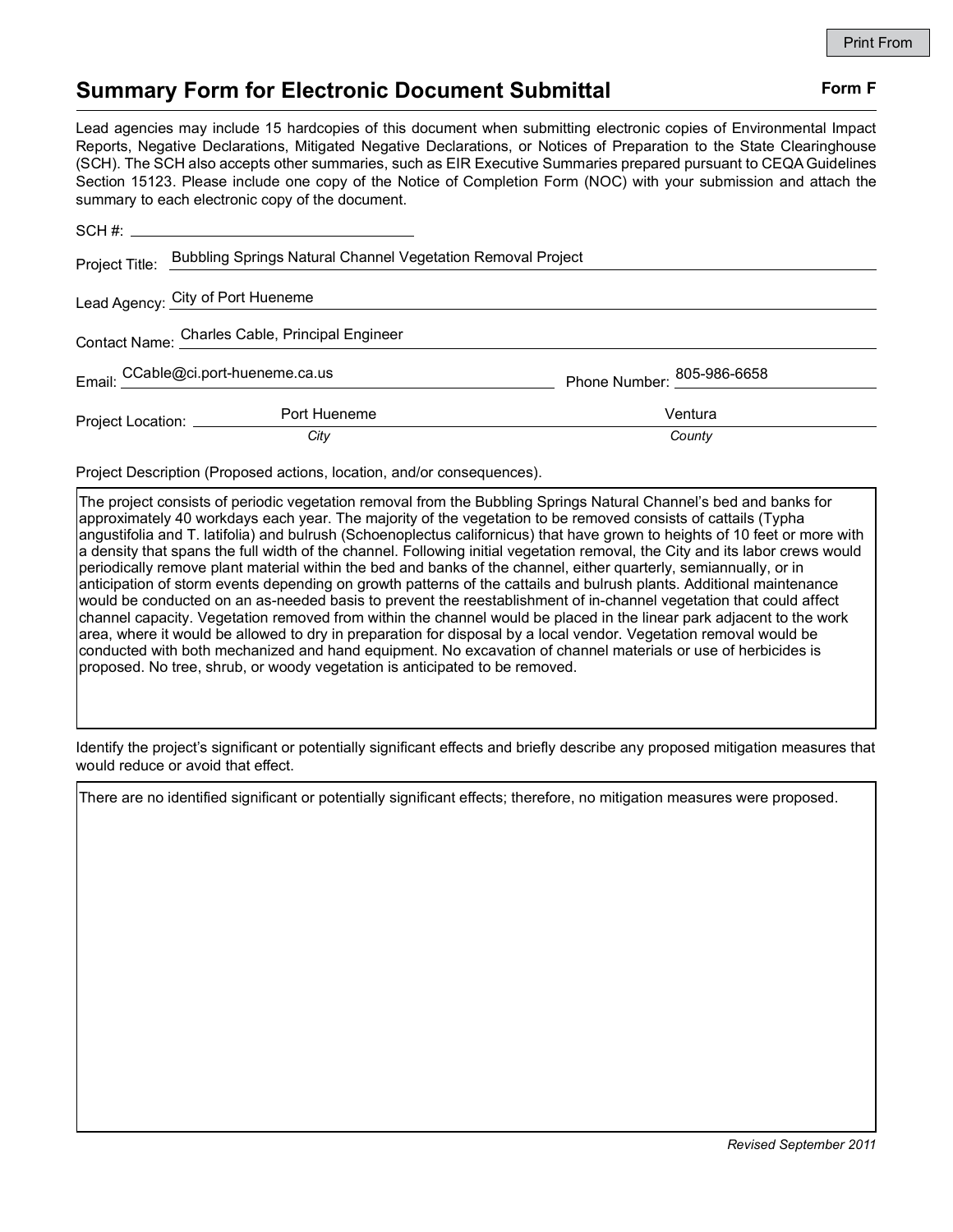## Summary Form for Electronic Document Submittal Form F

## Lead agencies may include 15 hardcopies of this document when submitting electronic copies of Environmental Impact Reports, Negative Declarations, Mitigated Negative Declarations, or Notices of Preparation to the State Clearinghouse (SCH). The SCH also accepts other summaries, such as EIR Executive Summaries prepared pursuant to CEQA Guidelines Section 15123. Please include one copy of the Notice of Completion Form (NOC) with your submission and attach the summary to each electronic copy of the document.

|                                                       |                                                                        |                                                                                                                                                                                                                                                                                                                                                                                                                                                                                       | <b>Print From</b> |
|-------------------------------------------------------|------------------------------------------------------------------------|---------------------------------------------------------------------------------------------------------------------------------------------------------------------------------------------------------------------------------------------------------------------------------------------------------------------------------------------------------------------------------------------------------------------------------------------------------------------------------------|-------------------|
| <b>Summary Form for Electronic Document Submittal</b> |                                                                        | Form F                                                                                                                                                                                                                                                                                                                                                                                                                                                                                |                   |
|                                                       | summary to each electronic copy of the document.                       | Lead agencies may include 15 hardcopies of this document when submitting electronic copies of Environmental Impact<br>Reports, Negative Declarations, Mitigated Negative Declarations, or Notices of Preparation to the State Clearinghouse<br>(SCH). The SCH also accepts other summaries, such as EIR Executive Summaries prepared pursuant to CEQA Guidelines<br>Section 15123. Please include one copy of the Notice of Completion Form (NOC) with your submission and attach the |                   |
|                                                       |                                                                        |                                                                                                                                                                                                                                                                                                                                                                                                                                                                                       |                   |
| Project Title:                                        | Bubbling Springs Natural Channel Vegetation Removal Project            |                                                                                                                                                                                                                                                                                                                                                                                                                                                                                       |                   |
|                                                       | Lead Agency: City of Port Hueneme                                      |                                                                                                                                                                                                                                                                                                                                                                                                                                                                                       |                   |
|                                                       | Contact Name: Charles Cable, Principal Engineer                        |                                                                                                                                                                                                                                                                                                                                                                                                                                                                                       |                   |
|                                                       | Email: CCable@ci.port-hueneme.ca.us                                    | Phone Number: 805-986-6658                                                                                                                                                                                                                                                                                                                                                                                                                                                            |                   |
| Project Location: _________                           | Port Hueneme                                                           | Ventura                                                                                                                                                                                                                                                                                                                                                                                                                                                                               |                   |
|                                                       | City                                                                   | County                                                                                                                                                                                                                                                                                                                                                                                                                                                                                |                   |
|                                                       | Project Description (Proposed actions, location, and/or consequences). |                                                                                                                                                                                                                                                                                                                                                                                                                                                                                       |                   |

The project consists of periodic vegetation removal from the Bubbling Springs Natural Channel's bed and banks for approximately 40 workdays each year. The majority of the vegetation to be removed consists of cattails (Typha angustifolia and T. latifolia) and bulrush (Schoenoplectus californicus) that have grown to heights of 10 feet or more with a density that spans the full width of the channel. Following initial vegetation removal, the City and its labor crews would periodically remove plant material within the bed and banks of the channel, either quarterly, semiannually, or in anticipation of storm events depending on growth patterns of the cattails and bulrush plants. Additional maintenance would be conducted on an as-needed basis to prevent the reestablishment of in-channel vegetation that could affect channel capacity. Vegetation removed from within the channel would be placed in the linear park adjacent to the work area, where it would be allowed to dry in preparation for disposal by a local vendor. Vegetation removal would be conducted with both mechanized and hand equipment. No excavation of channel materials or use of herbicides is proposed. No tree, shrub, or woody vegetation is anticipated to be removed.

Identify the project's significant or potentially significant effects and briefly describe any proposed mitigation measures that would reduce or avoid that effect.

There are no identified significant or potentially significant effects; therefore, no mitigation measures were proposed.